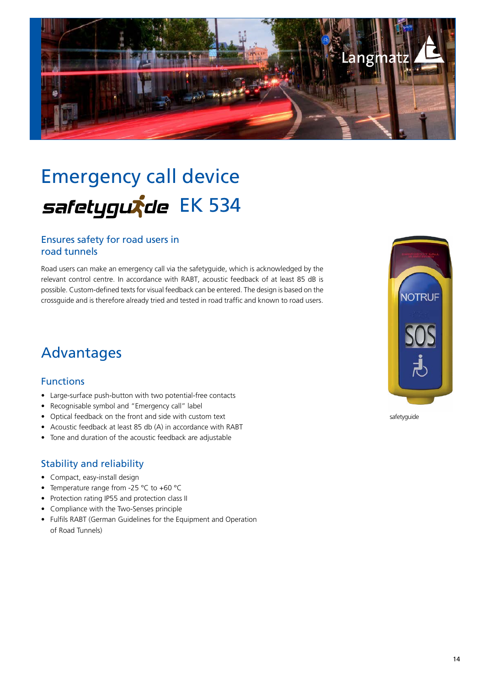

# Emergency call device safetygurde EK 534

#### Ensures safety for road users in road tunnels

Road users can make an emergency call via the safetyguide, which is acknowledged by the relevant control centre. In accordance with RABT, acoustic feedback of at least 85 dB is possible. Custom-defined texts for visual feedback can be entered. The design is based on the crossguide and is therefore already tried and tested in road traffic and known to road users.

### Advantages

#### Functions

- Large-surface push-button with two potential-free contacts
- Recognisable symbol and "Emergency call" label
- Optical feedback on the front and side with custom text
- Acoustic feedback at least 85 db (A) in accordance with RABT
- Tone and duration of the acoustic feedback are adjustable

#### Stability and reliability

- Compact, easy-install design
- Temperature range from -25 °C to +60 °C
- Protection rating IP55 and protection class II
- Compliance with the Two-Senses principle
- Fulfils RABT (German Guidelines for the Equipment and Operation of Road Tunnels)



safetyguide